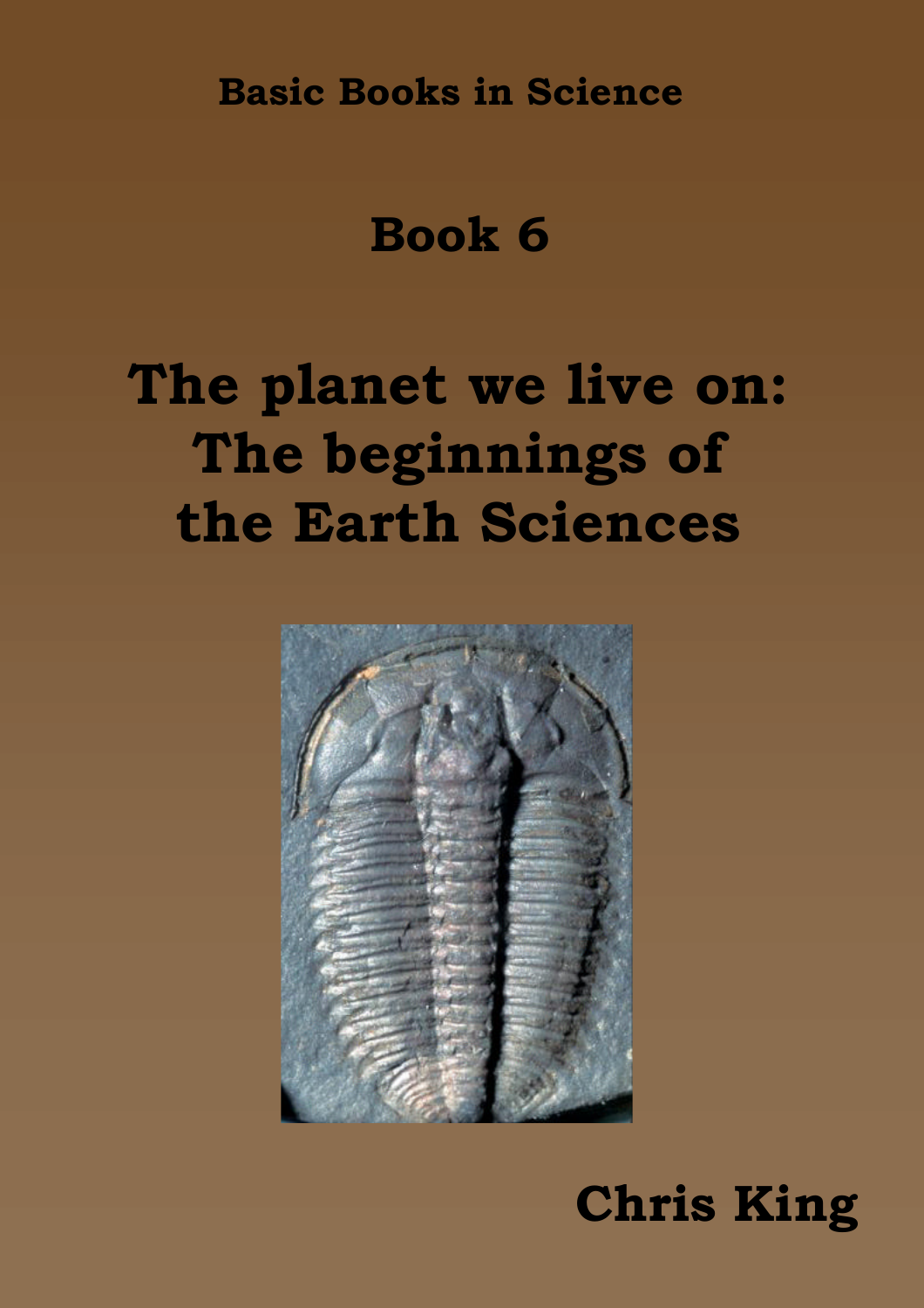**Basic Books in Science**

## **Book 6**

# **The planet we live on: The beginnings of the Earth Sciences**



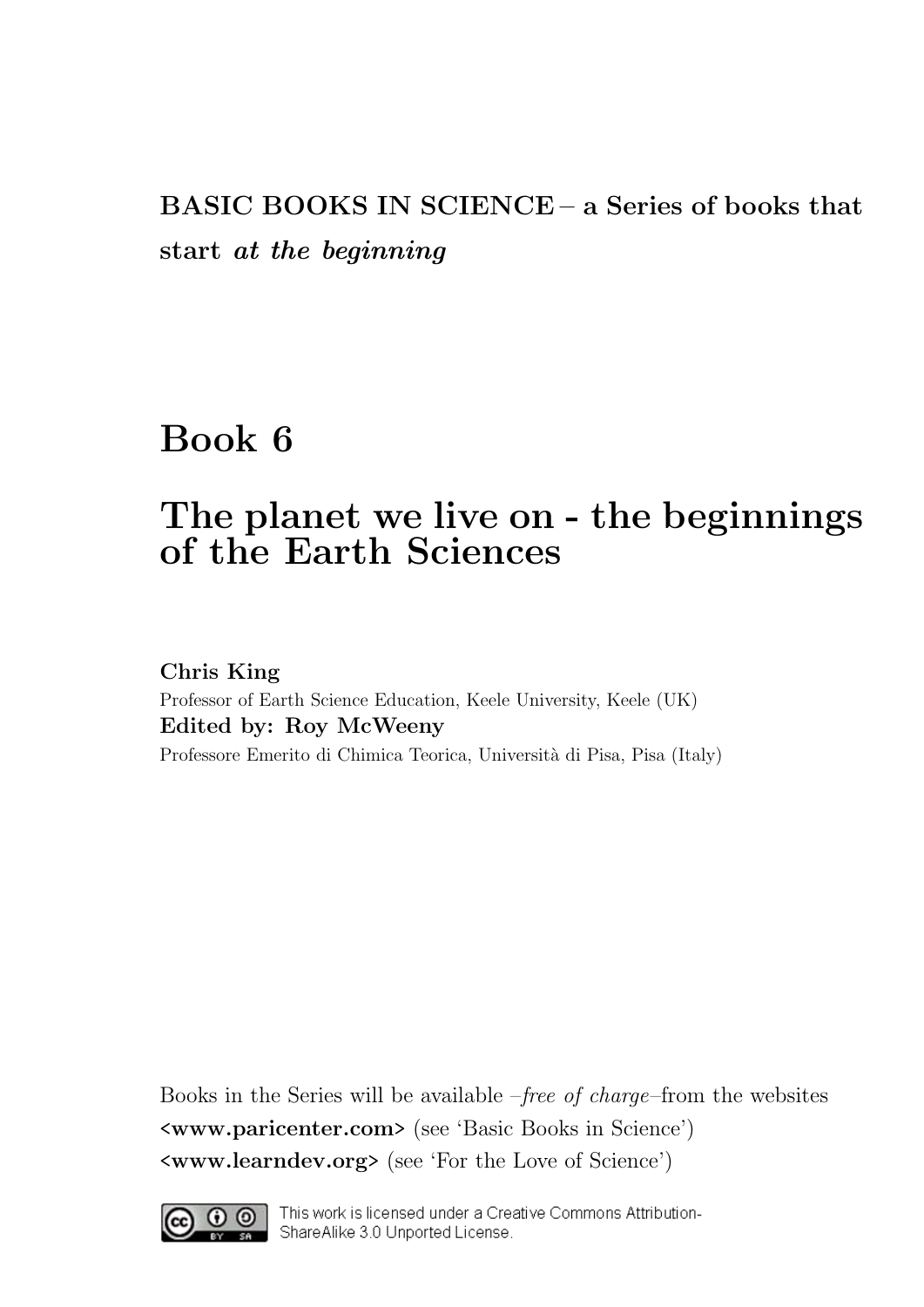### <span id="page-1-0"></span>BASIC BOOKS IN SCIENCE – a Series of books that start at the beginning

### Book 6

### The planet we live on - the beginnings of the Earth Sciences

### Chris King Professor of Earth Science Education, Keele University, Keele (UK) Edited by: Roy McWeeny Professore Emerito di Chimica Teorica, Università di Pisa, Pisa (Italy)

Books in the Series will be available –free of charge–from the websites <www.paricenter.com> (see 'Basic Books in Science') <www.learndev.org> (see 'For the Love of Science')



This work is licensed under a Creative Commons Attribution-ShareAlike 3.0 Unported License.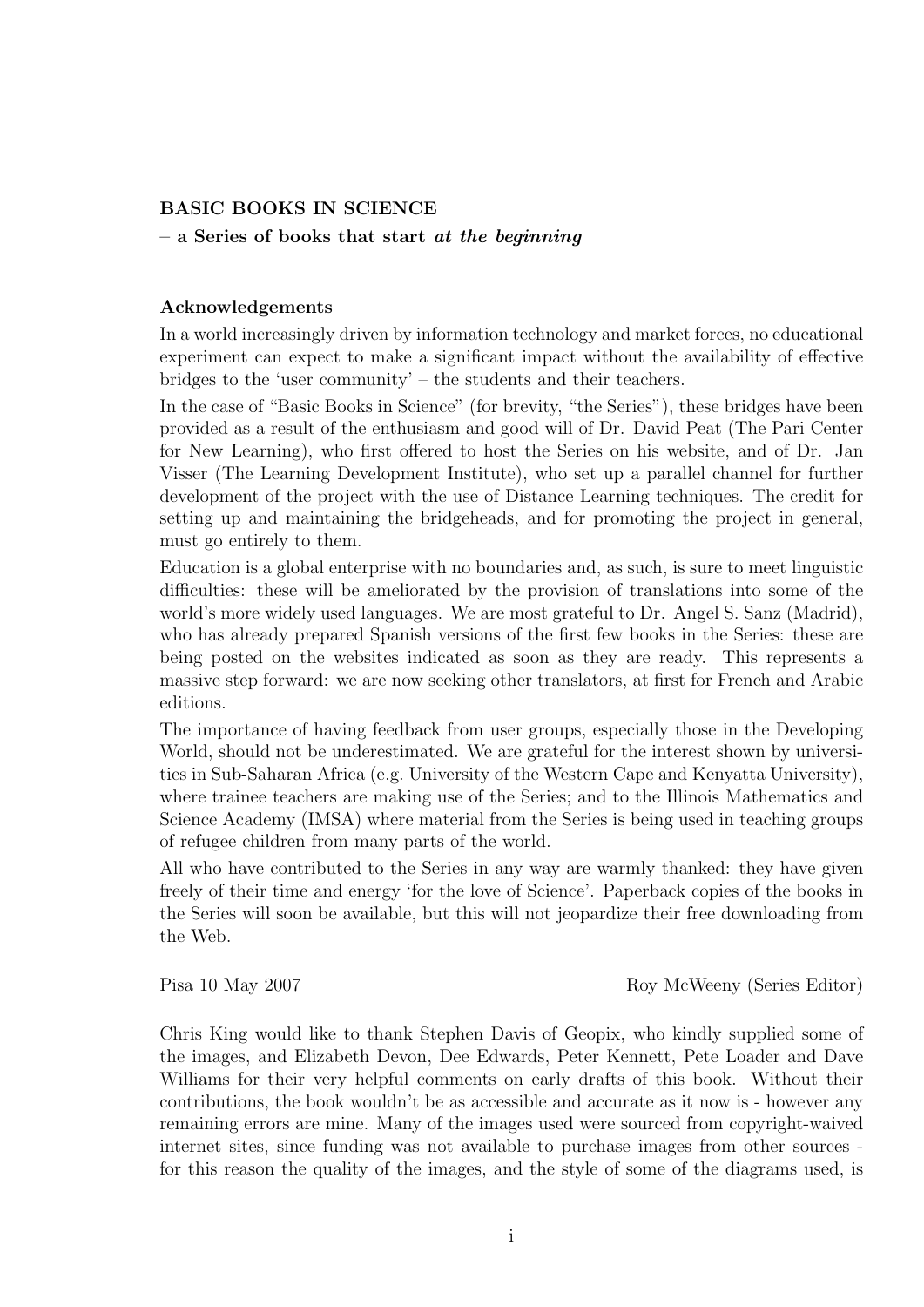#### BASIC BOOKS IN SCIENCE

 $-$  a Series of books that start at the beginning

#### Acknowledgements

In a world increasingly driven by information technology and market forces, no educational experiment can expect to make a significant impact without the availability of effective bridges to the 'user community' – the students and their teachers.

In the case of "Basic Books in Science" (for brevity, "the Series"), these bridges have been provided as a result of the enthusiasm and good will of Dr. David Peat (The Pari Center for New Learning), who first offered to host the Series on his website, and of Dr. Jan Visser (The Learning Development Institute), who set up a parallel channel for further development of the project with the use of Distance Learning techniques. The credit for setting up and maintaining the bridgeheads, and for promoting the project in general, must go entirely to them.

Education is a global enterprise with no boundaries and, as such, is sure to meet linguistic difficulties: these will be ameliorated by the provision of translations into some of the world's more widely used languages. We are most grateful to Dr. Angel S. Sanz (Madrid), who has already prepared Spanish versions of the first few books in the Series: these are being posted on the websites indicated as soon as they are ready. This represents a massive step forward: we are now seeking other translators, at first for French and Arabic editions.

The importance of having feedback from user groups, especially those in the Developing World, should not be underestimated. We are grateful for the interest shown by universities in Sub-Saharan Africa (e.g. University of the Western Cape and Kenyatta University), where trainee teachers are making use of the Series; and to the Illinois Mathematics and Science Academy (IMSA) where material from the Series is being used in teaching groups of refugee children from many parts of the world.

All who have contributed to the Series in any way are warmly thanked: they have given freely of their time and energy 'for the love of Science'. Paperback copies of the books in the Series will soon be available, but this will not jeopardize their free downloading from the Web.

Pisa 10 May 2007 Roy McWeeny (Series Editor)

Chris King would like to thank Stephen Davis of Geopix, who kindly supplied some of the images, and Elizabeth Devon, Dee Edwards, Peter Kennett, Pete Loader and Dave Williams for their very helpful comments on early drafts of this book. Without their contributions, the book wouldn't be as accessible and accurate as it now is - however any remaining errors are mine. Many of the images used were sourced from copyright-waived internet sites, since funding was not available to purchase images from other sources for this reason the quality of the images, and the style of some of the diagrams used, is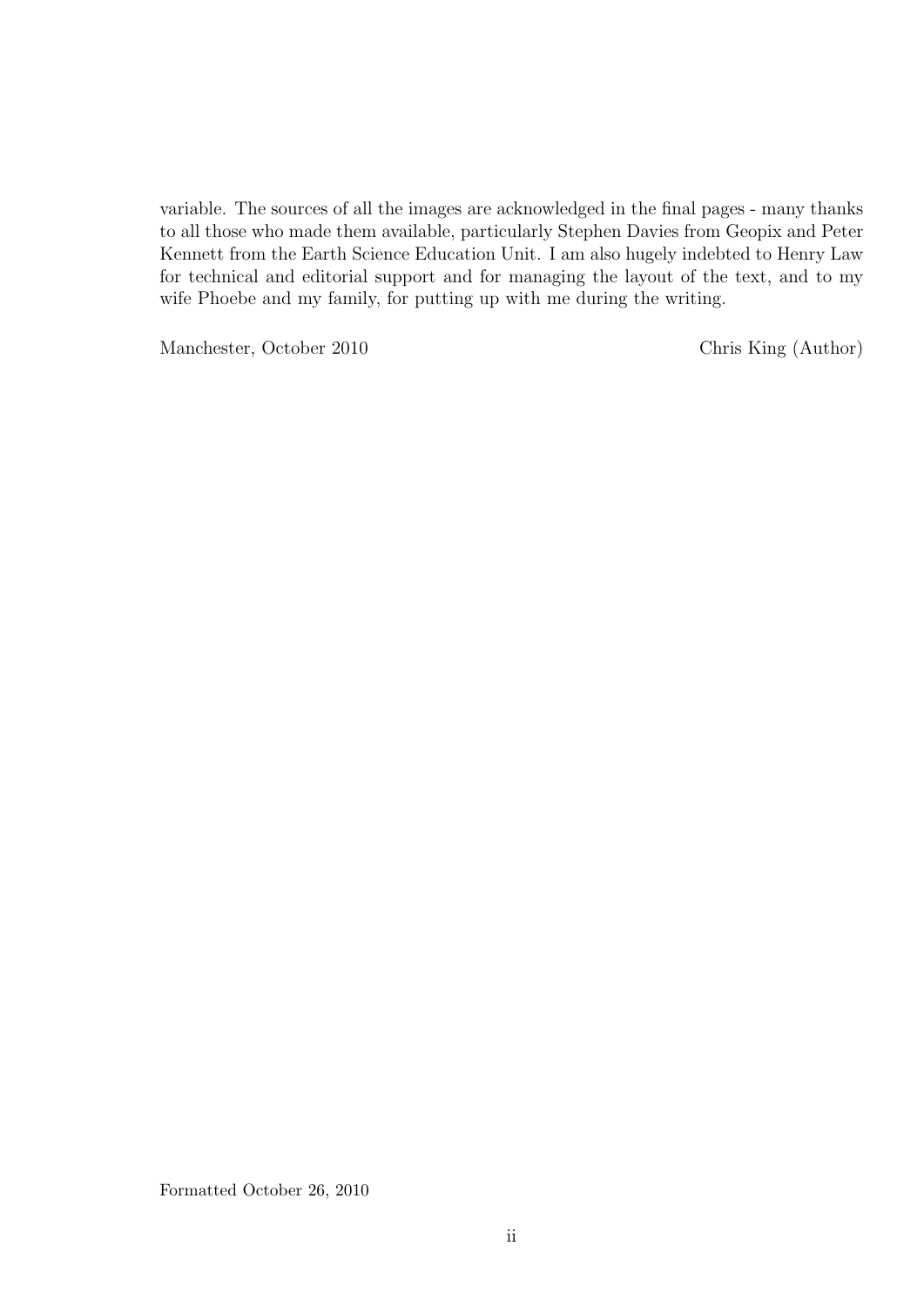variable. The sources of all the images are acknowledged in the final pages - many thanks to all those who made them available, particularly Stephen Davies from Geopix and Peter Kennett from the Earth Science Education Unit. I am also hugely indebted to Henry Law for technical and editorial support and for managing the layout of the text, and to my wife Phoebe and my family, for putting up with me during the writing.

Manchester, October 2010 Chris King (Author)

Formatted October 26, 2010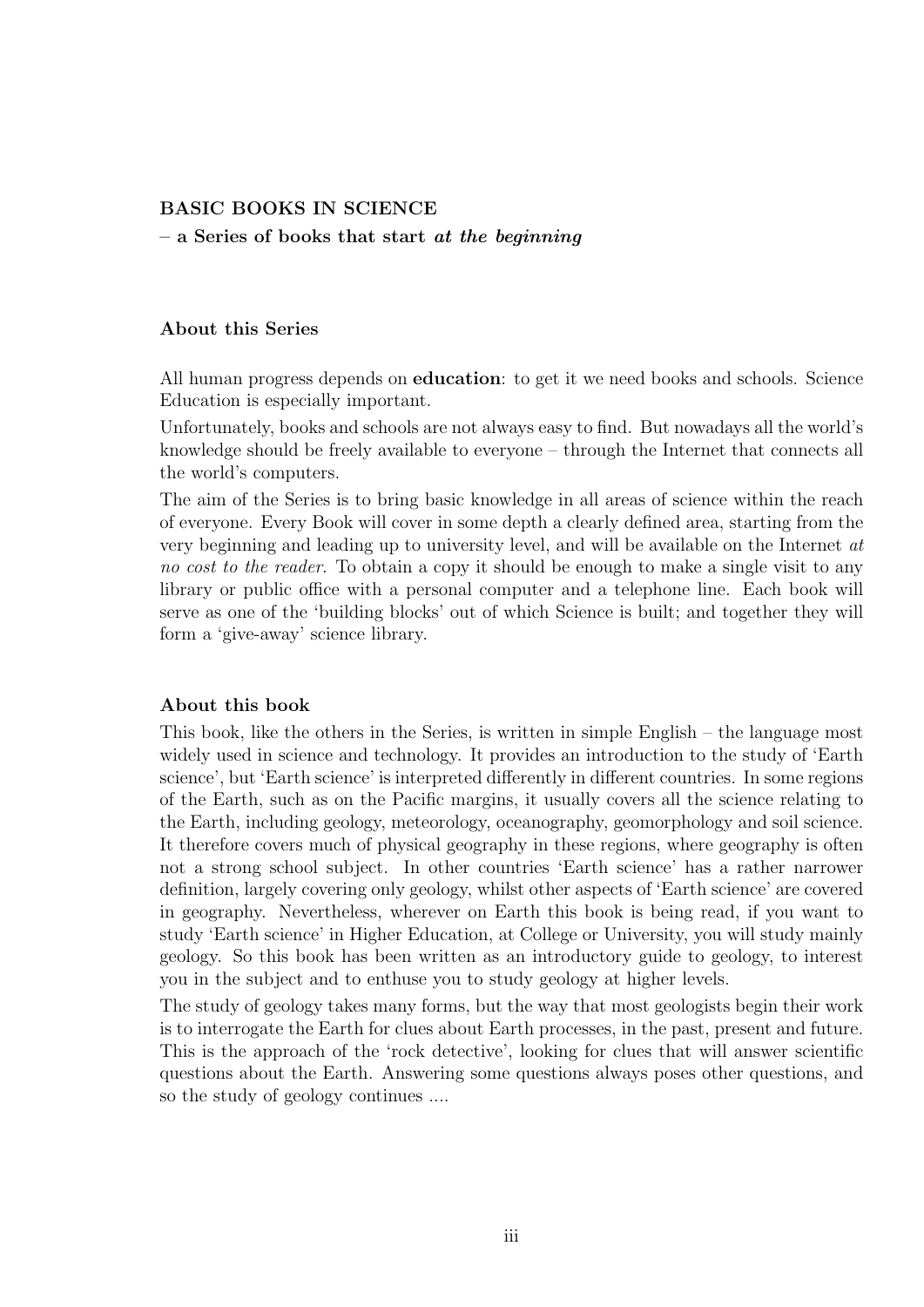#### BASIC BOOKS IN SCIENCE

 $-$  a Series of books that start at the beginning

#### About this Series

All human progress depends on **education**: to get it we need books and schools. Science Education is especially important.

Unfortunately, books and schools are not always easy to find. But nowadays all the world's knowledge should be freely available to everyone – through the Internet that connects all the world's computers.

The aim of the Series is to bring basic knowledge in all areas of science within the reach of everyone. Every Book will cover in some depth a clearly defined area, starting from the very beginning and leading up to university level, and will be available on the Internet at no cost to the reader. To obtain a copy it should be enough to make a single visit to any library or public office with a personal computer and a telephone line. Each book will serve as one of the 'building blocks' out of which Science is built; and together they will form a 'give-away' science library.

#### About this book

This book, like the others in the Series, is written in simple English – the language most widely used in science and technology. It provides an introduction to the study of 'Earth science', but 'Earth science' is interpreted differently in different countries. In some regions of the Earth, such as on the Pacific margins, it usually covers all the science relating to the Earth, including geology, meteorology, oceanography, geomorphology and soil science. It therefore covers much of physical geography in these regions, where geography is often not a strong school subject. In other countries 'Earth science' has a rather narrower definition, largely covering only geology, whilst other aspects of 'Earth science' are covered in geography. Nevertheless, wherever on Earth this book is being read, if you want to study 'Earth science' in Higher Education, at College or University, you will study mainly geology. So this book has been written as an introductory guide to geology, to interest you in the subject and to enthuse you to study geology at higher levels.

The study of geology takes many forms, but the way that most geologists begin their work is to interrogate the Earth for clues about Earth processes, in the past, present and future. This is the approach of the 'rock detective', looking for clues that will answer scientific questions about the Earth. Answering some questions always poses other questions, and so the study of geology continues ....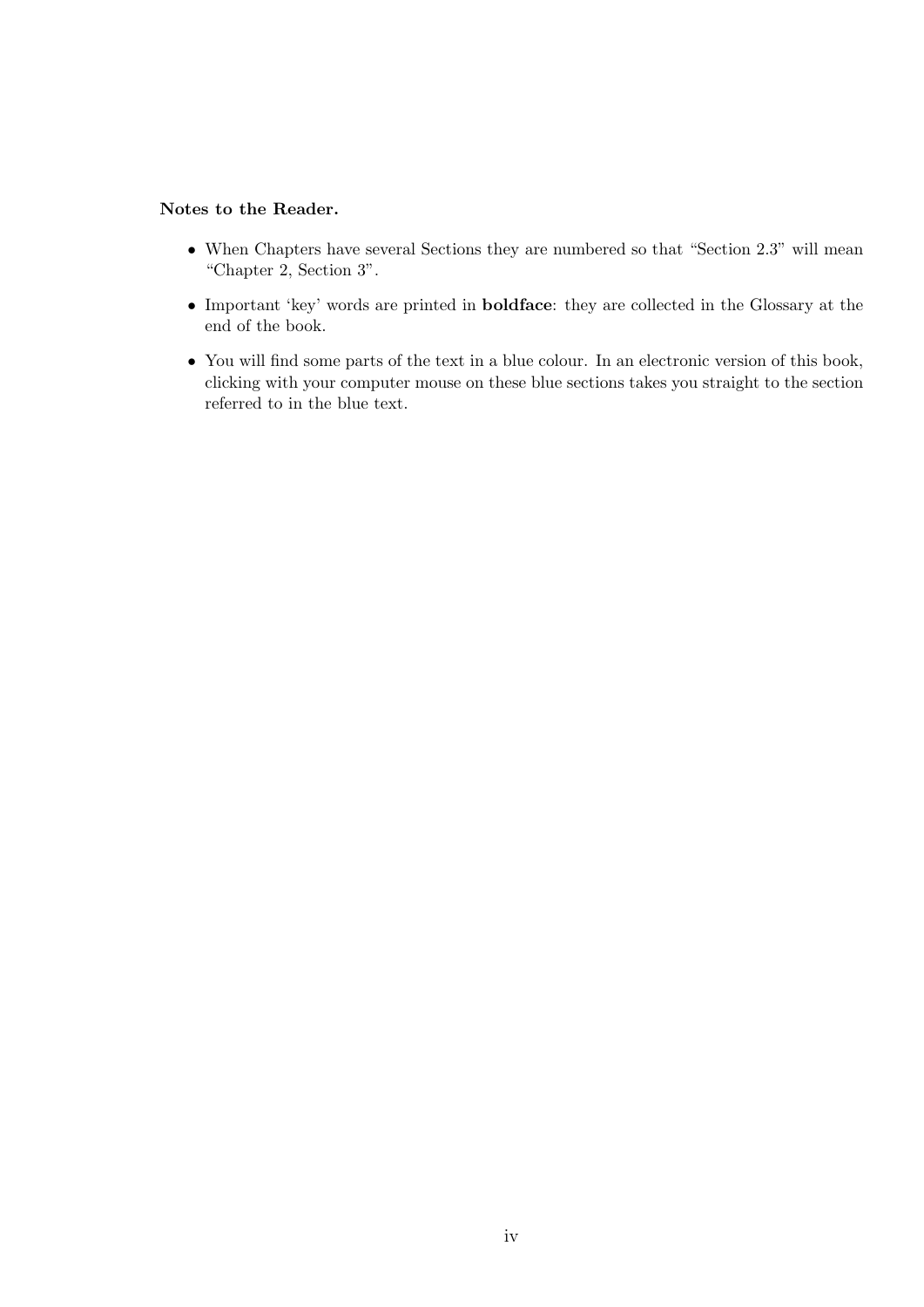#### Notes to the Reader.

- When Chapters have several Sections they are numbered so that "Section 2.3" will mean "Chapter 2, Section 3".
- Important 'key' words are printed in boldface: they are collected in the Glossary at the end of the book.
- You will find some parts of the text in a blue colour. In an electronic version of this book, clicking with your computer mouse on these blue sections takes you straight to the section referred to in the blue text.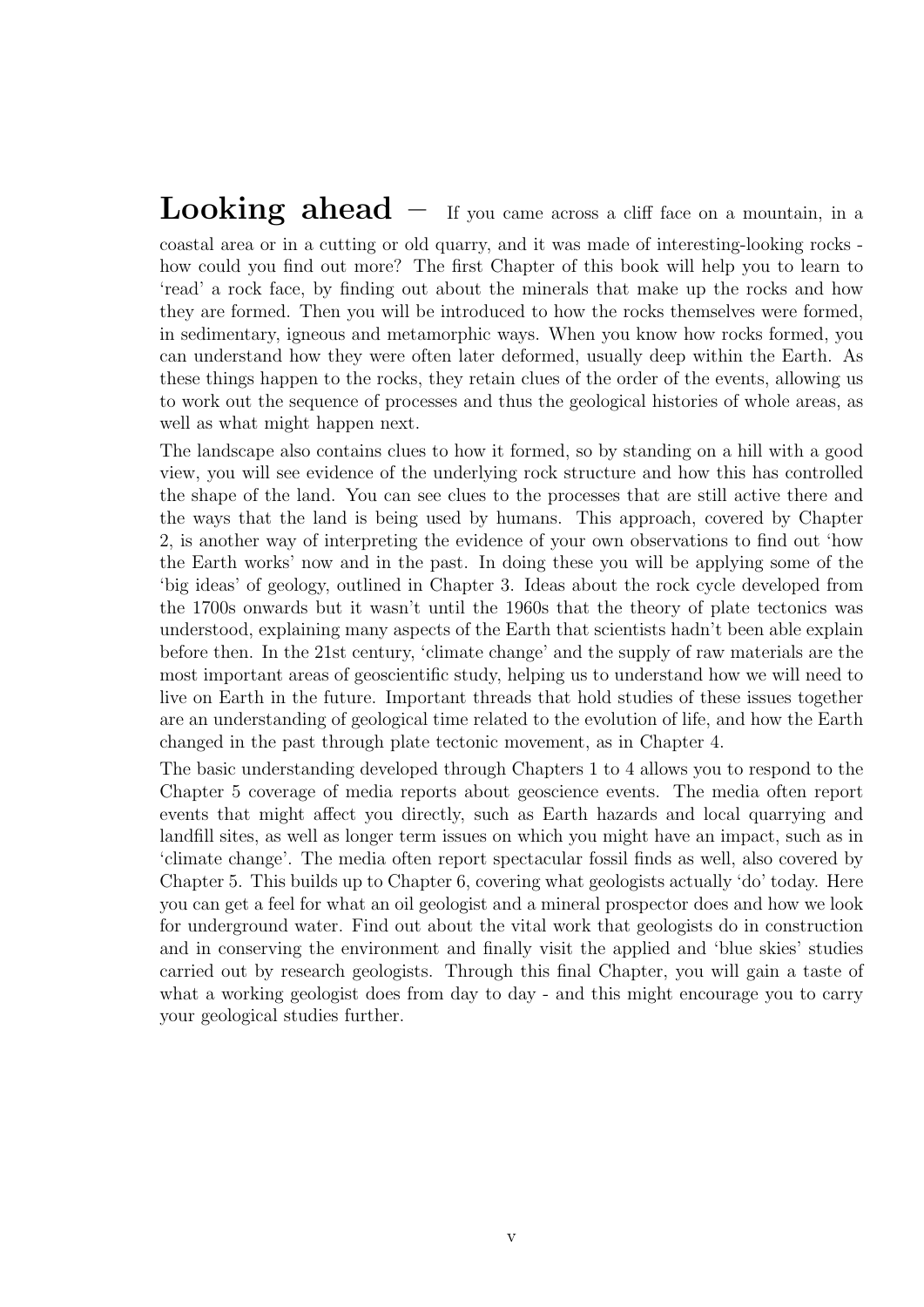### **Looking ahead** – If you came across a cliff face on a mountain, in a

coastal area or in a cutting or old quarry, and it was made of interesting-looking rocks how could you find out more? The first Chapter of this book will help you to learn to 'read' a rock face, by finding out about the minerals that make up the rocks and how they are formed. Then you will be introduced to how the rocks themselves were formed, in sedimentary, igneous and metamorphic ways. When you know how rocks formed, you can understand how they were often later deformed, usually deep within the Earth. As these things happen to the rocks, they retain clues of the order of the events, allowing us to work out the sequence of processes and thus the geological histories of whole areas, as well as what might happen next.

The landscape also contains clues to how it formed, so by standing on a hill with a good view, you will see evidence of the underlying rock structure and how this has controlled the shape of the land. You can see clues to the processes that are still active there and the ways that the land is being used by humans. This approach, covered by Chapter 2, is another way of interpreting the evidence of your own observations to find out 'how the Earth works' now and in the past. In doing these you will be applying some of the 'big ideas' of geology, outlined in Chapter 3. Ideas about the rock cycle developed from the 1700s onwards but it wasn't until the 1960s that the theory of plate tectonics was understood, explaining many aspects of the Earth that scientists hadn't been able explain before then. In the 21st century, 'climate change' and the supply of raw materials are the most important areas of geoscientific study, helping us to understand how we will need to live on Earth in the future. Important threads that hold studies of these issues together are an understanding of geological time related to the evolution of life, and how the Earth changed in the past through plate tectonic movement, as in Chapter 4.

The basic understanding developed through Chapters 1 to 4 allows you to respond to the Chapter 5 coverage of media reports about geoscience events. The media often report events that might affect you directly, such as Earth hazards and local quarrying and landfill sites, as well as longer term issues on which you might have an impact, such as in 'climate change'. The media often report spectacular fossil finds as well, also covered by Chapter 5. This builds up to Chapter 6, covering what geologists actually 'do' today. Here you can get a feel for what an oil geologist and a mineral prospector does and how we look for underground water. Find out about the vital work that geologists do in construction and in conserving the environment and finally visit the applied and 'blue skies' studies carried out by research geologists. Through this final Chapter, you will gain a taste of what a working geologist does from day to day - and this might encourage you to carry your geological studies further.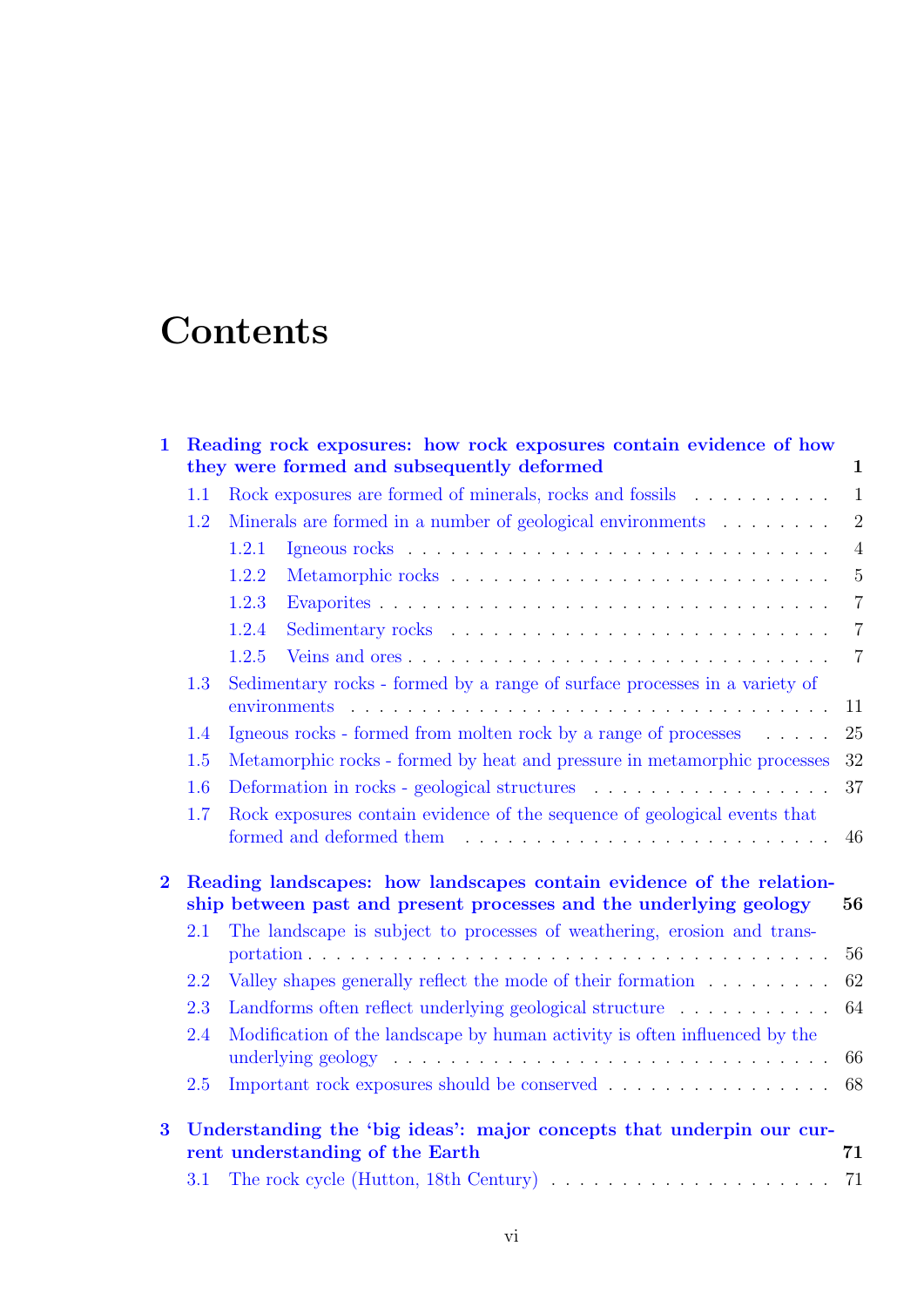### <span id="page-7-0"></span>**Contents**

| $\mathbf{1}$            |     | Reading rock exposures: how rock exposures contain evidence of how                                                                         |                |
|-------------------------|-----|--------------------------------------------------------------------------------------------------------------------------------------------|----------------|
|                         |     | they were formed and subsequently deformed                                                                                                 | $\mathbf{1}$   |
|                         | 1.1 | Rock exposures are formed of minerals, rocks and fossils                                                                                   | $\mathbf{1}$   |
|                         | 1.2 | Minerals are formed in a number of geological environments                                                                                 | $\overline{2}$ |
|                         |     | 1.2.1                                                                                                                                      | $\overline{4}$ |
|                         |     | 1.2.2                                                                                                                                      | 5              |
|                         |     | 1.2.3                                                                                                                                      | $\overline{7}$ |
|                         |     | 1.2.4                                                                                                                                      | $\overline{7}$ |
|                         |     | Veins and ores<br>1.2.5                                                                                                                    | $\overline{7}$ |
|                         | 1.3 | Sedimentary rocks - formed by a range of surface processes in a variety of                                                                 |                |
|                         |     |                                                                                                                                            | 11             |
|                         | 1.4 | Igneous rocks - formed from molten rock by a range of processes                                                                            | 25             |
|                         | 1.5 | Metamorphic rocks - formed by heat and pressure in metamorphic processes                                                                   | 32             |
|                         | 1.6 | Deformation in rocks - geological structures $\hfill\ldots\ldots\ldots\ldots\ldots\ldots\ldots$                                            | 37             |
|                         | 1.7 | Rock exposures contain evidence of the sequence of geological events that                                                                  | 46             |
| $\overline{2}$          |     | Reading landscapes: how landscapes contain evidence of the relation-<br>ship between past and present processes and the underlying geology | 56             |
|                         | 2.1 | The landscape is subject to processes of weathering, erosion and trans-                                                                    | 56             |
|                         | 2.2 | Valley shapes generally reflect the mode of their formation                                                                                | 62             |
|                         | 2.3 | Landforms often reflect underlying geological structure                                                                                    | 64             |
|                         | 2.4 | Modification of the landscape by human activity is often influenced by the                                                                 | 66             |
|                         | 2.5 | Important rock exposures should be conserved                                                                                               | 68             |
| $\overline{\mathbf{3}}$ |     | Understanding the 'big ideas': major concepts that underpin our cur-                                                                       | 71             |
|                         |     | rent understanding of the Earth                                                                                                            |                |
|                         | 3.1 | The rock cycle (Hutton, 18th Century) $\ldots \ldots \ldots \ldots \ldots \ldots$                                                          | 71             |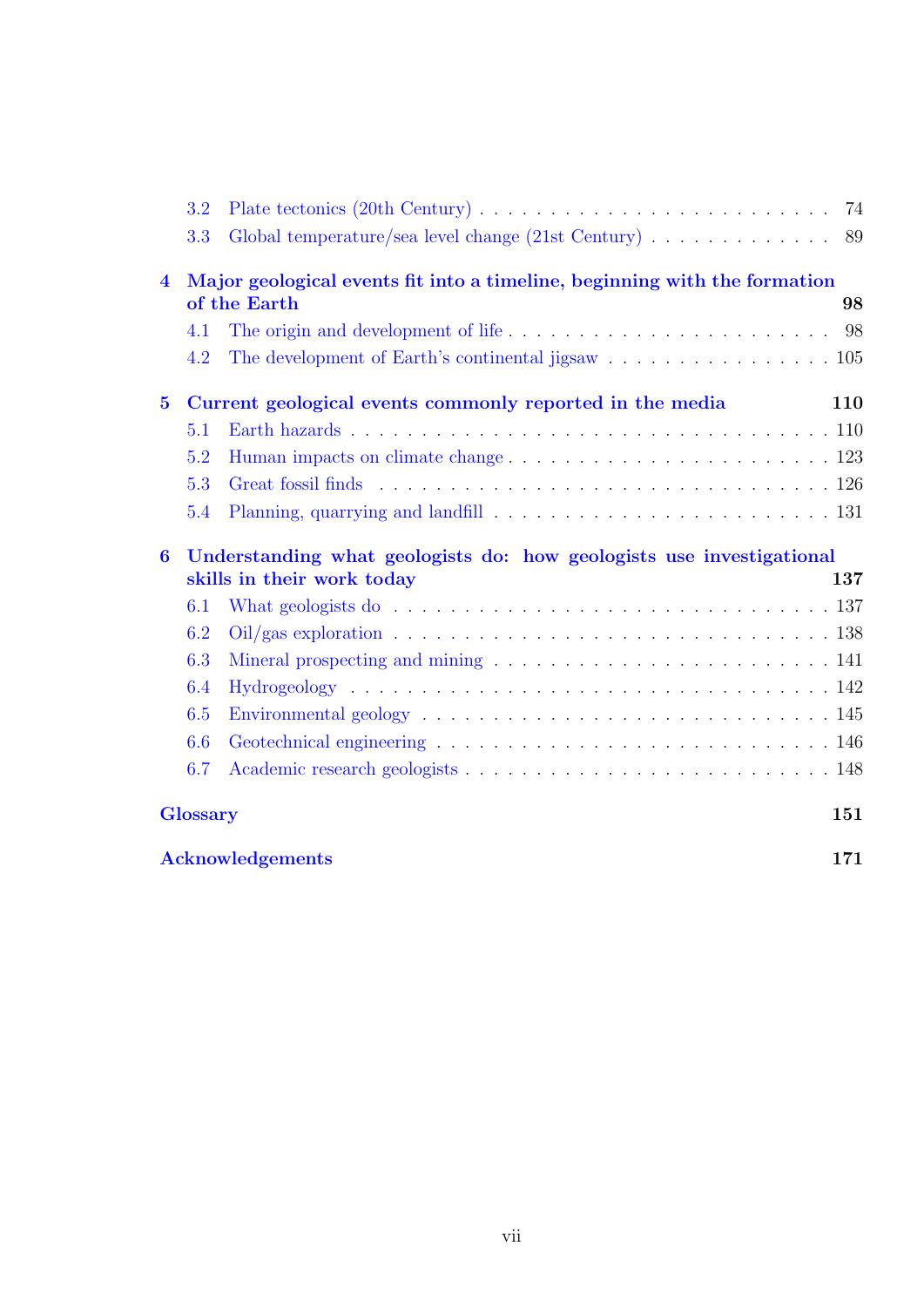|                         | 3.2             |                                                                                                        |     |
|-------------------------|-----------------|--------------------------------------------------------------------------------------------------------|-----|
|                         | 3.3             | Global temperature/sea level change $(21st$ Century)                                                   | 89  |
| $\overline{\mathbf{4}}$ |                 | Major geological events fit into a timeline, beginning with the formation                              |     |
|                         |                 | of the Earth                                                                                           | 98  |
|                         | 4.1             | The origin and development of life $\dots \dots \dots \dots \dots \dots \dots \dots \dots \dots$ 98    |     |
|                         | 4.2             | The development of Earth's continental jigsaw 105                                                      |     |
| $\bf{5}$                |                 | Current geological events commonly reported in the media                                               | 110 |
|                         | 5.1             |                                                                                                        |     |
|                         | 5.2             |                                                                                                        |     |
|                         | 5.3             |                                                                                                        |     |
|                         | 5.4             |                                                                                                        |     |
| 6                       |                 | Understanding what geologists do: how geologists use investigational                                   |     |
|                         |                 | skills in their work today                                                                             | 137 |
|                         | 6.1             |                                                                                                        |     |
|                         | 6.2             | Oil/gas exploration $\ldots \ldots \ldots \ldots \ldots \ldots \ldots \ldots \ldots \ldots \ldots 138$ |     |
|                         | 6.3             |                                                                                                        |     |
|                         | 6.4             |                                                                                                        |     |
|                         | 6.5             |                                                                                                        |     |
|                         | 6.6             |                                                                                                        |     |
|                         | 6.7             |                                                                                                        |     |
|                         | <b>Glossary</b> |                                                                                                        | 151 |
|                         |                 | <b>Acknowledgements</b>                                                                                | 171 |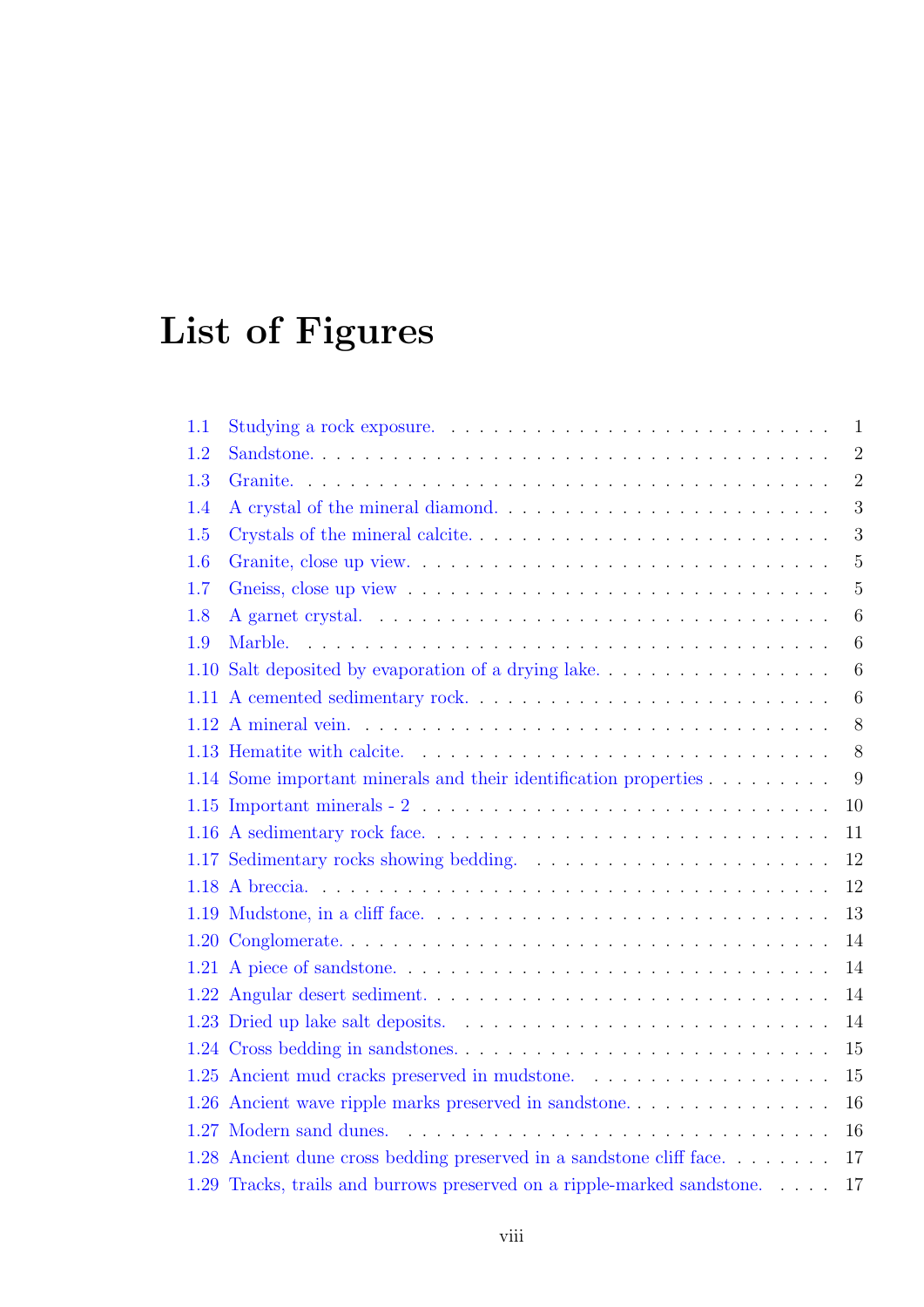# List of Figures

| 1.1  |                                                                         | $\mathbf{1}$   |
|------|-------------------------------------------------------------------------|----------------|
| 1.2  |                                                                         | $\overline{2}$ |
| 1.3  |                                                                         | $\overline{2}$ |
| 1.4  |                                                                         | 3              |
| 1.5  |                                                                         | 3              |
| 1.6  |                                                                         | $\overline{5}$ |
| 1.7  |                                                                         | $\overline{5}$ |
| 1.8  |                                                                         | 6              |
| 1.9  |                                                                         | 6              |
| 1.10 |                                                                         | 6              |
|      |                                                                         | 6              |
|      |                                                                         | 8              |
|      |                                                                         | 8              |
|      | 1.14 Some important minerals and their identification properties        | 9              |
|      |                                                                         | 10             |
|      |                                                                         | 11             |
|      |                                                                         | 12             |
|      |                                                                         | 12             |
|      |                                                                         | 13             |
|      |                                                                         | 14             |
|      |                                                                         | 14             |
|      |                                                                         | 14             |
|      |                                                                         | 14             |
|      |                                                                         | 15             |
|      | 1.25 Ancient mud cracks preserved in mudstone.                          | 15             |
|      | 1.26 Ancient wave ripple marks preserved in sandstone                   | 16             |
|      |                                                                         | 16             |
|      | 1.28 Ancient dune cross bedding preserved in a sandstone cliff face     | 17             |
|      | 1.29 Tracks, trails and burrows preserved on a ripple-marked sandstone. | 17             |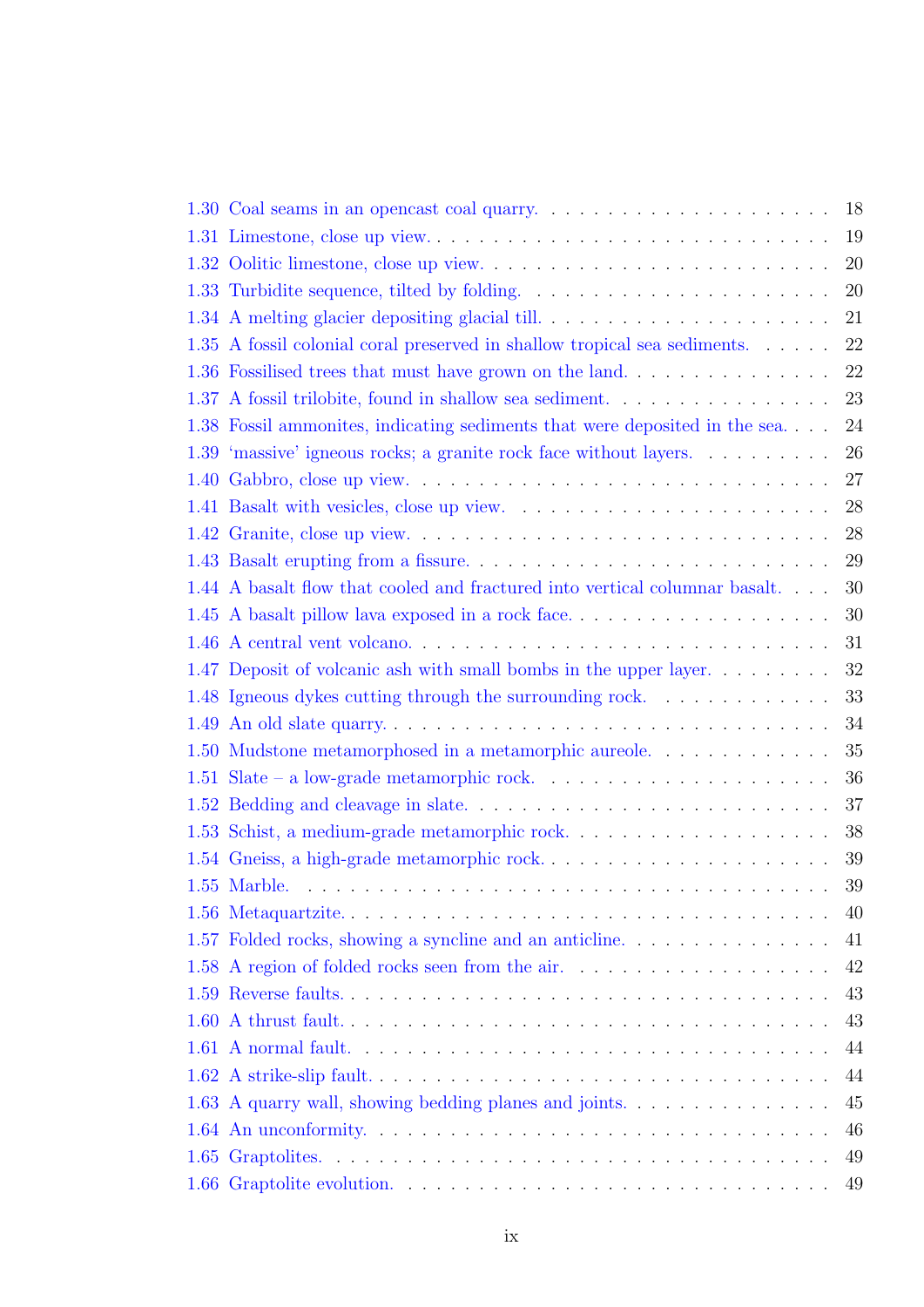|      |                                                                                              | 18 |
|------|----------------------------------------------------------------------------------------------|----|
|      |                                                                                              | 19 |
|      |                                                                                              | 20 |
|      |                                                                                              | 20 |
|      |                                                                                              | 21 |
|      | $1.35$ A fossil colonial coral preserved in shallow tropical sea sediments. $\dots$ .        | 22 |
|      | 1.36 Fossilised trees that must have grown on the land. $\dots \dots \dots \dots \dots$      | 22 |
|      | 1.37 A fossil trilobite, found in shallow sea sediment. $\ldots \ldots \ldots \ldots \ldots$ | 23 |
|      | 1.38 Fossil ammonites, indicating sediments that were deposited in the sea                   | 24 |
|      | 1.39 'massive' igneous rocks; a granite rock face without layers.                            | 26 |
| 1.40 |                                                                                              | 27 |
|      |                                                                                              | 28 |
|      |                                                                                              | 28 |
|      |                                                                                              | 29 |
|      | 1.44 A basalt flow that cooled and fractured into vertical columnar basalt.                  | 30 |
|      |                                                                                              | 30 |
|      |                                                                                              | 31 |
|      | 1.47 Deposit of volcanic ash with small bombs in the upper layer                             | 32 |
|      | 1.48 Igneous dykes cutting through the surrounding rock.                                     | 33 |
|      |                                                                                              | 34 |
|      | 1.50 Mudstone metamorphosed in a metamorphic aureole.                                        | 35 |
|      | 1.51 Slate – a low-grade metamorphic rock. $\ldots \ldots \ldots \ldots \ldots \ldots$       | 36 |
|      |                                                                                              | 37 |
|      | 1.53 Schist, a medium-grade metamorphic rock                                                 | 38 |
|      |                                                                                              | 39 |
|      |                                                                                              | 39 |
|      |                                                                                              | 40 |
|      | 1.57 Folded rocks, showing a syncline and an anticline.                                      | 41 |
|      | 1.58 A region of folded rocks seen from the air. $\ldots \ldots \ldots \ldots \ldots \ldots$ | 42 |
|      |                                                                                              | 43 |
|      |                                                                                              | 43 |
|      |                                                                                              | 44 |
|      |                                                                                              | 44 |
|      | 1.63 A quarry wall, showing bedding planes and joints.                                       | 45 |
|      |                                                                                              | 46 |
|      |                                                                                              | 49 |
|      |                                                                                              | 49 |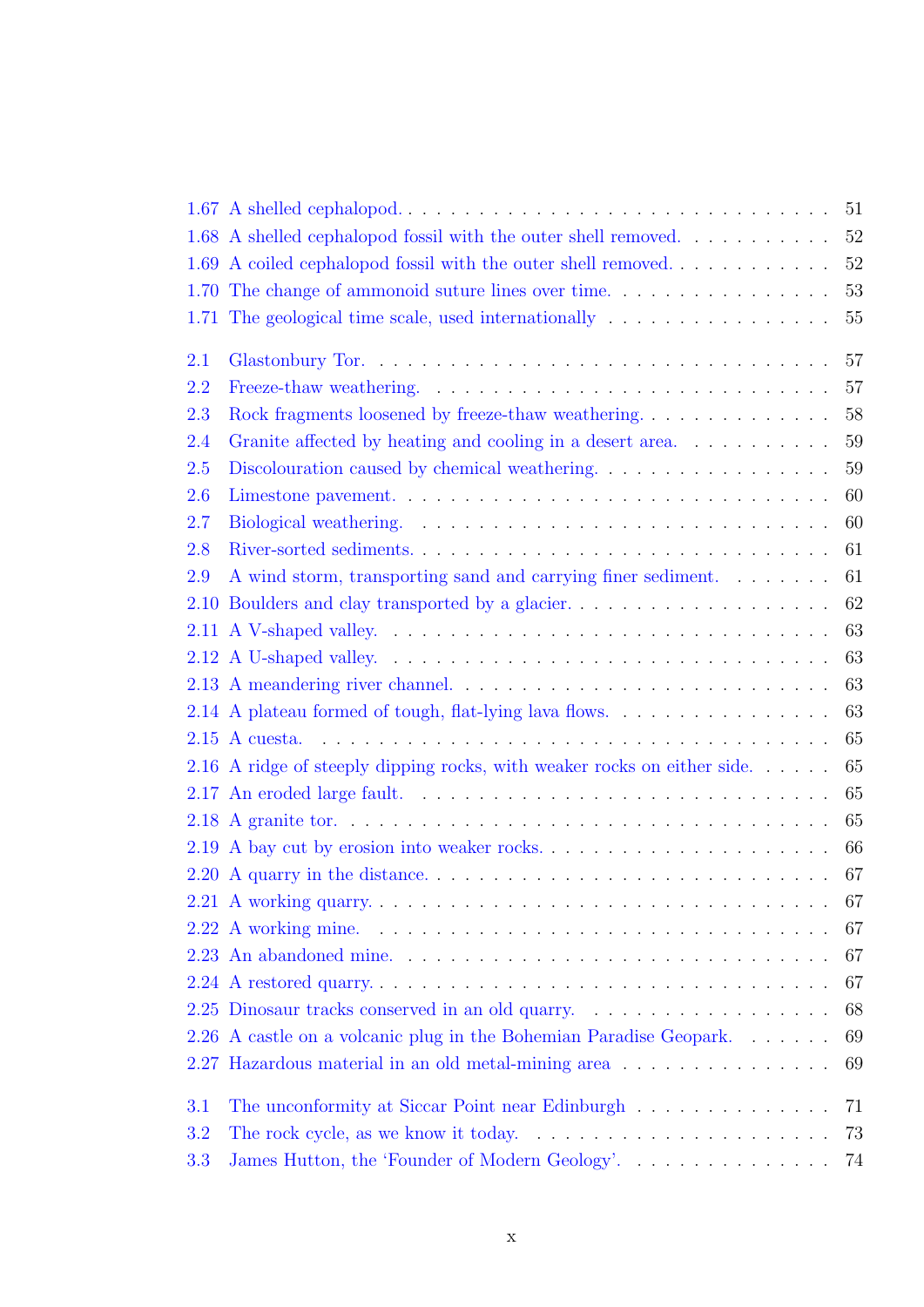|      |                                                                                        | 51 |
|------|----------------------------------------------------------------------------------------|----|
|      | 1.68 A shelled cephalopod fossil with the outer shell removed.                         | 52 |
|      | 1.69 A coiled cephalopod fossil with the outer shell removed. $\dots \dots \dots$      | 52 |
|      | 1.70 The change of ammonoid suture lines over time.                                    | 53 |
|      | 1.71 The geological time scale, used internationally                                   | 55 |
| 2.1  |                                                                                        | 57 |
| 2.2  |                                                                                        | 57 |
| 2.3  | Rock fragments loosened by freeze-thaw weathering                                      | 58 |
| 2.4  | Granite affected by heating and cooling in a desert area.                              | 59 |
| 2.5  | Discolouration caused by chemical weathering                                           | 59 |
| 2.6  |                                                                                        | 60 |
| 2.7  |                                                                                        | 60 |
| 2.8  |                                                                                        | 61 |
| 2.9  | A wind storm, transporting sand and carrying finer sediment. $\dots \dots$             | 61 |
| 2.10 |                                                                                        | 62 |
|      |                                                                                        | 63 |
|      |                                                                                        | 63 |
|      |                                                                                        | 63 |
|      | 2.14 A plateau formed of tough, flat-lying lava flows.                                 | 63 |
|      |                                                                                        | 65 |
|      | 2.16 A ridge of steeply dipping rocks, with weaker rocks on either side                | 65 |
|      |                                                                                        | 65 |
|      |                                                                                        | 65 |
|      |                                                                                        | 66 |
|      |                                                                                        | 67 |
|      |                                                                                        | 67 |
|      |                                                                                        | 67 |
|      |                                                                                        | 67 |
|      |                                                                                        | 67 |
|      |                                                                                        | 68 |
|      | 2.26 A castle on a volcanic plug in the Bohemian Paradise Geopark                      | 69 |
|      |                                                                                        | 69 |
| 3.1  | The unconformity at Siccar Point near Edinburgh                                        | 71 |
| 3.2  | The rock cycle, as we know it today. $\dots \dots \dots \dots \dots \dots \dots \dots$ | 73 |
| 3.3  | James Hutton, the 'Founder of Modern Geology'.                                         | 74 |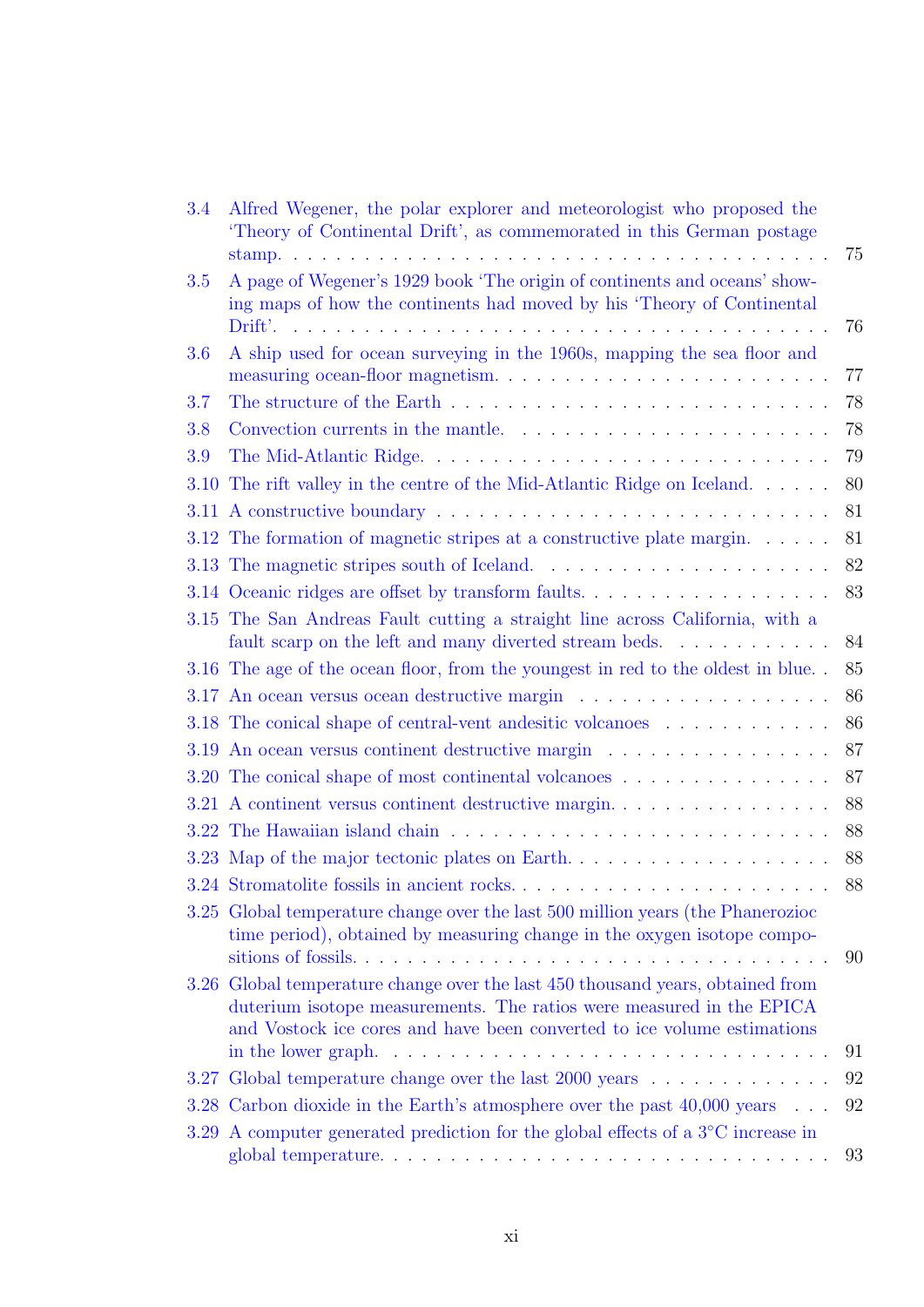| 3.4  | Alfred Wegener, the polar explorer and meteorologist who proposed the<br>Theory of Continental Drift', as commemorated in this German postage                                                                                           |
|------|-----------------------------------------------------------------------------------------------------------------------------------------------------------------------------------------------------------------------------------------|
|      | 75                                                                                                                                                                                                                                      |
| 3.5  | A page of Wegener's 1929 book 'The origin of continents and oceans' show-<br>ing maps of how the continents had moved by his 'Theory of Continental<br>76                                                                               |
| 3.6  | A ship used for ocean surveying in the 1960s, mapping the sea floor and<br>77                                                                                                                                                           |
| 3.7  | 78                                                                                                                                                                                                                                      |
| 3.8  | 78                                                                                                                                                                                                                                      |
| 3.9  | 79                                                                                                                                                                                                                                      |
| 3.10 | The rift valley in the centre of the Mid-Atlantic Ridge on Iceland.<br>80                                                                                                                                                               |
|      | 3.11 A constructive boundary<br>81                                                                                                                                                                                                      |
|      | 3.12 The formation of magnetic stripes at a constructive plate margin. $\dots$ .<br>81                                                                                                                                                  |
|      | 82                                                                                                                                                                                                                                      |
|      | 83                                                                                                                                                                                                                                      |
|      | 3.15 The San Andreas Fault cutting a straight line across California, with a<br>fault scarp on the left and many diverted stream beds.<br>84                                                                                            |
|      | 3.16 The age of the ocean floor, from the youngest in red to the oldest in blue<br>85                                                                                                                                                   |
|      | 86                                                                                                                                                                                                                                      |
|      | 3.18 The conical shape of central-vent andesitic volcanoes<br>86                                                                                                                                                                        |
|      | 87<br>3.19 An ocean versus continent destructive margin                                                                                                                                                                                 |
|      | 87                                                                                                                                                                                                                                      |
|      | 88<br>3.21 A continent versus continent destructive margin                                                                                                                                                                              |
|      | 88                                                                                                                                                                                                                                      |
|      | 3.23 Map of the major tectonic plates on Earth<br>88                                                                                                                                                                                    |
|      | 88                                                                                                                                                                                                                                      |
|      | 3.25 Global temperature change over the last 500 million years (the Phanerozioc<br>time period), obtained by measuring change in the oxygen isotope compo-<br>90                                                                        |
|      | 3.26 Global temperature change over the last 450 thousand years, obtained from<br>duterium isotope measurements. The ratios were measured in the EPICA<br>and Vostock ice cores and have been converted to ice volume estimations<br>91 |
|      | 3.27 Global temperature change over the last 2000 years<br>92                                                                                                                                                                           |
|      | 3.28 Carbon dioxide in the Earth's atmosphere over the past 40,000 years<br>92                                                                                                                                                          |
| 3.29 | A computer generated prediction for the global effects of a $3^{\circ}$ C increase in<br>93                                                                                                                                             |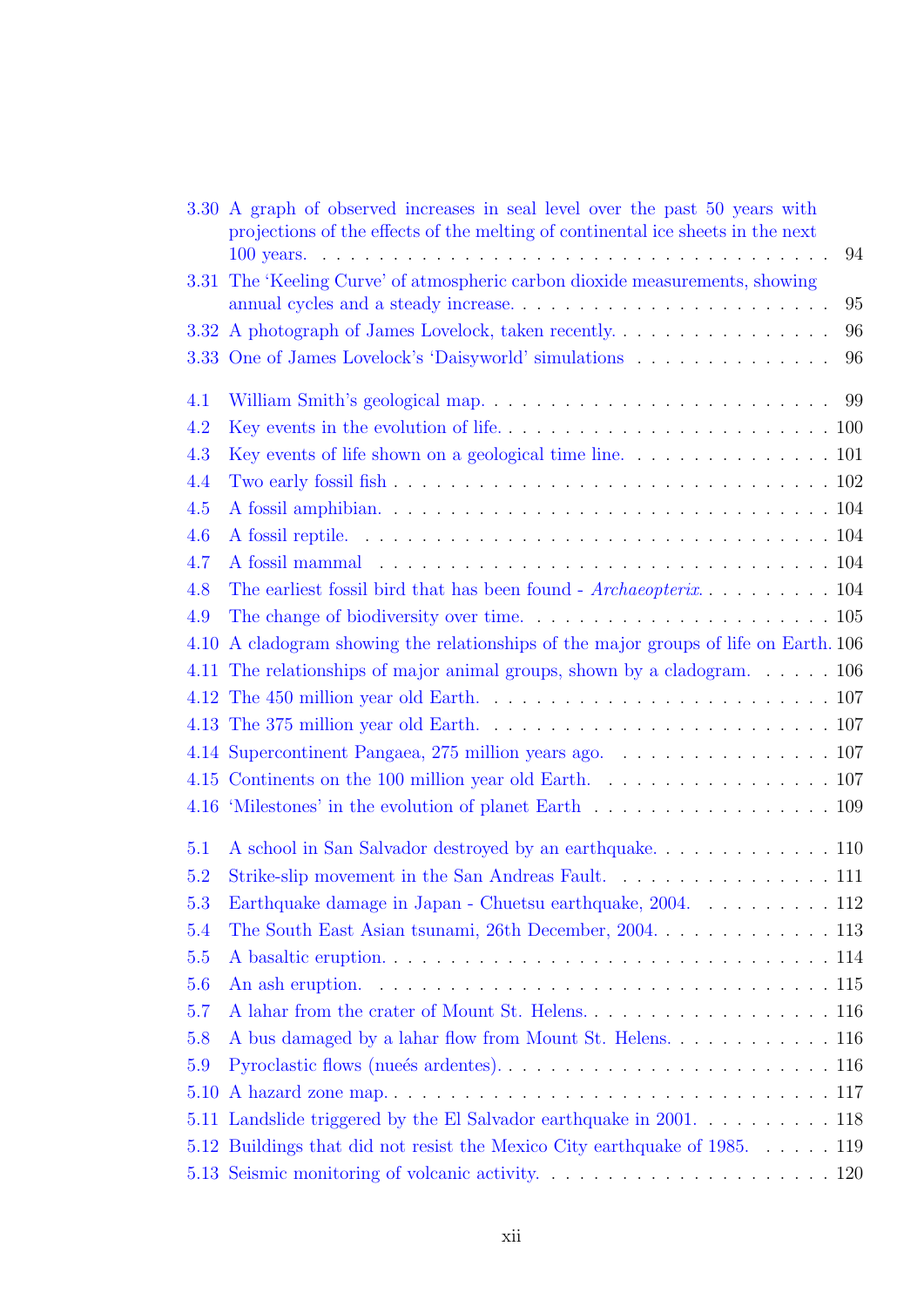|      | 3.30 A graph of observed increases in seal level over the past 50 years with<br>projections of the effects of the melting of continental ice sheets in the next<br>94 |
|------|-----------------------------------------------------------------------------------------------------------------------------------------------------------------------|
|      | 3.31 The 'Keeling Curve' of atmospheric carbon dioxide measurements, showing<br>95                                                                                    |
|      | 3.32 A photograph of James Lovelock, taken recently<br>96                                                                                                             |
|      | 3.33 One of James Lovelock's 'Daisyworld' simulations<br>96                                                                                                           |
| 4.1  |                                                                                                                                                                       |
| 4.2  |                                                                                                                                                                       |
| 4.3  | Key events of life shown on a geological time line. 101                                                                                                               |
| 4.4  | Two early fossil fish $\ldots \ldots \ldots \ldots \ldots \ldots \ldots \ldots \ldots \ldots \ldots \ldots 102$                                                       |
| 4.5  |                                                                                                                                                                       |
| 4.6  |                                                                                                                                                                       |
| 4.7  |                                                                                                                                                                       |
| 4.8  |                                                                                                                                                                       |
| 4.9  |                                                                                                                                                                       |
| 4.10 | A cladogram showing the relationships of the major groups of life on Earth. 106                                                                                       |
| 4.11 | The relationships of major animal groups, shown by a cladogram. 106                                                                                                   |
|      |                                                                                                                                                                       |
|      |                                                                                                                                                                       |
|      | 4.14 Supercontinent Pangaea, 275 million years ago. 107                                                                                                               |
|      | 4.15 Continents on the 100 million year old Earth. 107                                                                                                                |
|      | 4.16 'Milestones' in the evolution of planet Earth 109                                                                                                                |
| 5.1  |                                                                                                                                                                       |
| 5.2  | Strike-slip movement in the San Andreas Fault. 111                                                                                                                    |
| 5.3  | Earthquake damage in Japan - Chuetsu earthquake, 2004. 112                                                                                                            |
| 5.4  | The South East Asian tsunami, 26th December, 2004. 113                                                                                                                |
| 5.5  |                                                                                                                                                                       |
| 5.6  | An ash eruption. $\ldots \ldots \ldots \ldots \ldots \ldots \ldots \ldots \ldots \ldots \ldots \ldots \ldots 115$                                                     |
| 5.7  |                                                                                                                                                                       |
| 5.8  | A bus damaged by a lahar flow from Mount St. Helens 116                                                                                                               |
| 5.9  |                                                                                                                                                                       |
| 5.10 |                                                                                                                                                                       |
|      | 5.11 Landslide triggered by the El Salvador earthquake in 2001. 118                                                                                                   |
|      | 5.12 Buildings that did not resist the Mexico City earthquake of 1985. 119                                                                                            |
|      |                                                                                                                                                                       |